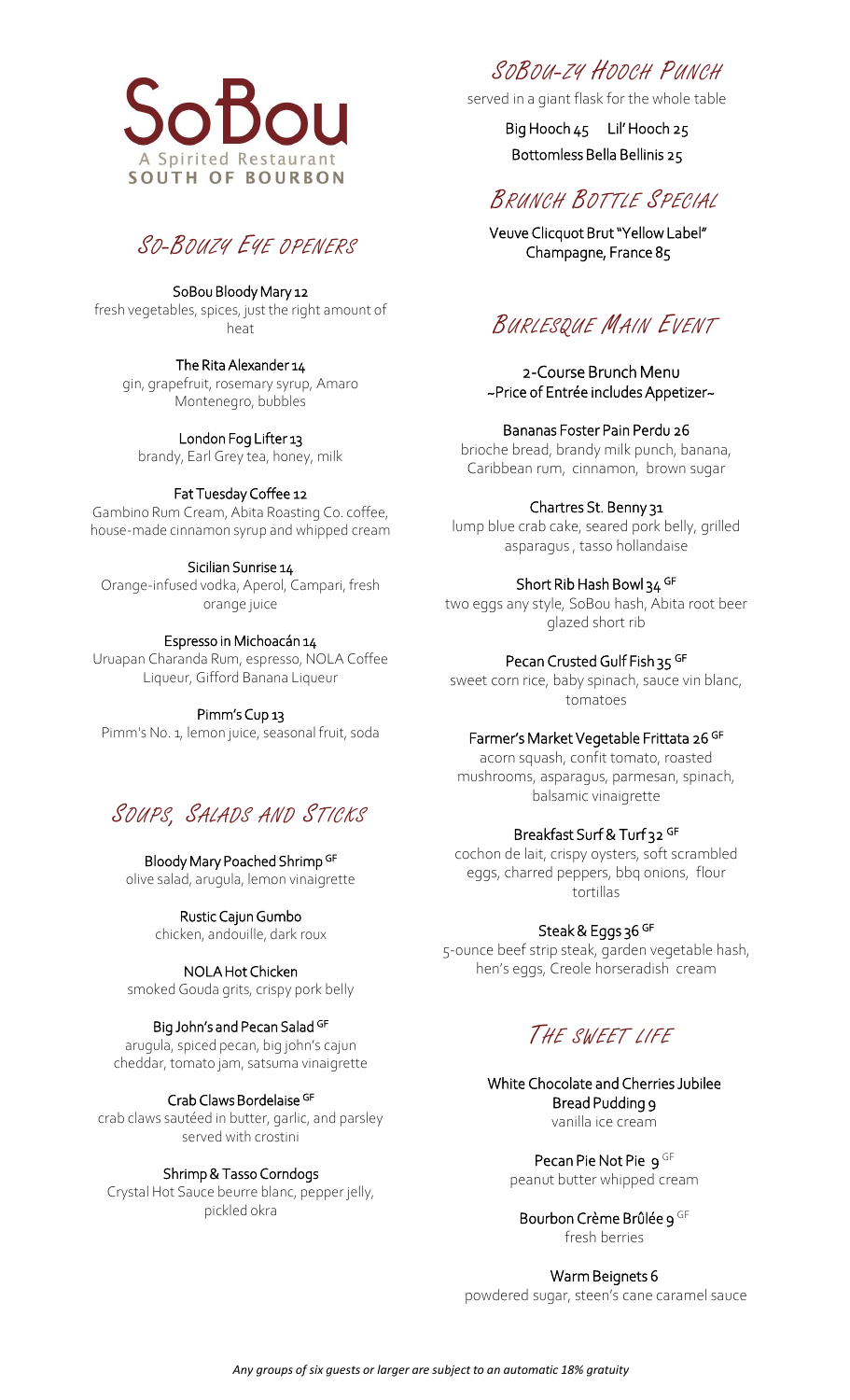



SoBou Bloody Mary 12 fresh vegetables, spices, just the right amount of heat

The Rita Alexander 14 gin, grapefruit, rosemary syrup, Amaro Montenegro, bubbles

London Fog Lifter 13 brandy, Earl Grey tea, honey, milk

### Fat Tuesday Coffee 12

Gambino Rum Cream, Abita Roasting Co. coffee, house-made cinnamon syrup and whipped cream

### Sicilian Sunrise 14

Orange-infused vodka, Aperol, Campari, fresh orange juice

### Espresso in Michoacán 14

Uruapan Charanda Rum, espresso, NOLA Coffee Liqueur, Gifford Banana Liqueur

Pimm's Cup 13

Pimm's No. 1, lemon juice, seasonal fruit, soda

# SOUPS, SALADS AND STICKS

Bloody Mary Poached Shrimp GF olive salad, arugula, lemon vinaigrette

> Rustic Cajun Gumbo chicken, andouille, dark roux

## NOLA Hot Chicken

smoked Gouda grits, crispy pork belly

### Big John's and Pecan Salad GF

arugula, spiced pecan, big john's cajun cheddar, tomato jam, satsuma vinaigrette

### Crab Claws Bordelaise GF

crab claws sautéed in butter, garlic, and parsley served with crostini

### Shrimp & Tasso Corndogs

Crystal Hot Sauce beurre blanc, pepper jelly, pickled okra

# SOBOU-ZY HOOCH PUNCH

served in a giant flask for the whole table

Big Hooch 45 Lil' Hooch 25 Bottomless Bella Bellinis 25

# BRUNCH BOTTLE SPECIAL

Veuve Clicquot Brut "Yellow Label" Champagne, France 85

# BURLESQUE MAIN EVENT

2-Course Brunch Menu ~Price of Entrée includes Appetizer~

### Bananas Foster Pain Perdu 26

brioche bread, brandy milk punch, banana, Caribbean rum, cinnamon, brown sugar

### Chartres St. Benny 31

lump blue crab cake, seared pork belly, grilled asparagus , tasso hollandaise

### Short Rib Hash Bowl 34 GF

two eggs any style, SoBou hash, Abita root beer glazed short rib

### Pecan Crusted Gulf Fish 35 GF

sweet corn rice, baby spinach, sauce vin blanc, tomatoes

### Farmer's Market Vegetable Frittata 26 GF

acorn squash, confit tomato, roasted mushrooms, asparagus, parmesan, spinach, balsamic vinaigrette

## Breakfast Surf & Turf 32 GF

cochon de lait, crispy oysters, soft scrambled eggs, charred peppers, bbq onions, flour tortillas

### Steak & Eggs 36 GF

5-ounce beef strip steak, garden vegetable hash, hen's eggs, Creole horseradish cream

# THE SWEET LIFE

White Chocolate and Cherries Jubilee Bread Pudding 9 vanilla ice cream

> Pecan Pie Not Pie 9 GF peanut butter whipped cream

Bourbon Crème Brûlée 9 GF fresh berries

### Warm Beignets 6

powdered sugar, steen's cane caramel sauce